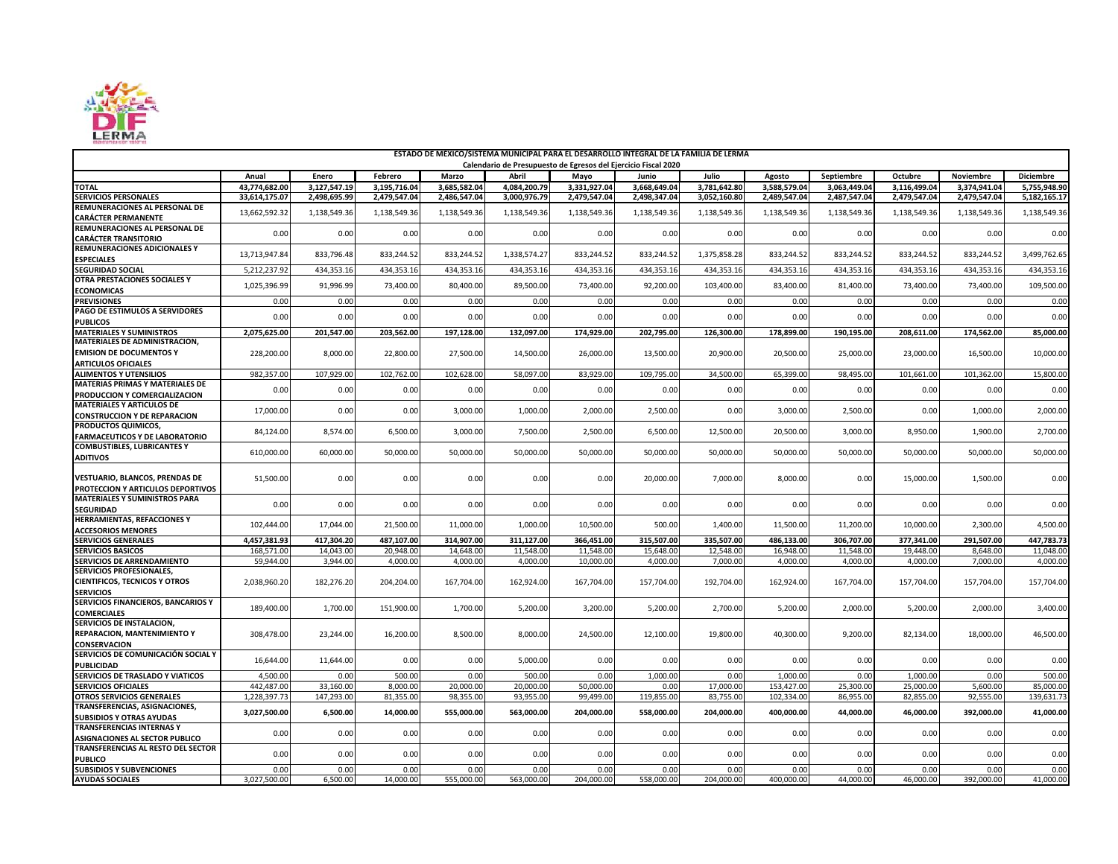

| ESTADO DE MÉXICO/SISTEMA MUNICIPAL PARA EL DESARROLLO INTEGRAL DE LA FAMILIA DE LERMA<br>Calendario de Presupuesto de Egresos del Ejercicio Fiscal 2020 |               |              |              |              |              |                         |                         |                       |                        |                            |              |                  |                  |
|---------------------------------------------------------------------------------------------------------------------------------------------------------|---------------|--------------|--------------|--------------|--------------|-------------------------|-------------------------|-----------------------|------------------------|----------------------------|--------------|------------------|------------------|
|                                                                                                                                                         | Anual         | Enero        | Febrero      | Marzo        | Abril        |                         | Junio                   |                       |                        |                            | Octubre      | <b>Noviembre</b> | <b>Diciembre</b> |
| <b>TOTAL</b>                                                                                                                                            | 43,774,682.00 | 3.127.547.19 | 3.195.716.04 | 3.685.582.04 | 4.084.200.79 | Mavo<br>3,331,927.04    | 3,668,649.04            | Julio<br>3.781.642.80 | Agosto<br>3,588,579.04 | Septiembre<br>3.063.449.04 | 3.116.499.04 | 3.374.941.04     | 5,755,948.9      |
| <b>SERVICIOS PERSONALES</b>                                                                                                                             | 33,614,175.07 | 2,498,695.99 | 2,479,547.04 | 2,486,547.04 | 3,000,976.79 | 2,479,547.04            | 2,498,347.04            | 3,052,160.80          | 2,489,547.04           | 2,487,547.04               | 2,479,547.04 | 2,479,547.04     | 5,182,165.17     |
| REMUNERACIONES AL PERSONAL DE                                                                                                                           |               |              |              |              |              |                         |                         |                       |                        |                            |              |                  |                  |
| <b>CARÁCTER PERMANENTE</b>                                                                                                                              | 13,662,592.32 | 1,138,549.36 | 1,138,549.36 | 1,138,549.36 | 1,138,549.36 | 1,138,549.36            | 1,138,549.36            | 1,138,549.36          | 1,138,549.36           | 1,138,549.36               | 1,138,549.36 | 1,138,549.36     | 1,138,549.36     |
| REMUNERACIONES AL PERSONAL DE                                                                                                                           |               |              |              | 0.00         |              |                         |                         |                       |                        |                            |              |                  |                  |
| <b>CARÁCTER TRANSITORIO</b>                                                                                                                             | 0.00          | 0.00         | 0.00         |              | 0.00         | 0.00                    | 0.00                    | 0.00                  | 0.00                   | 0.00                       | 0.00         | 0.00             | 0.00             |
| <b>REMUNERACIONES ADICIONALES Y</b>                                                                                                                     | 13.713.947.84 | 833,796.48   | 833,244.52   | 833.244.52   | 1,338,574.27 | 833.244.52              | 833.244.52              | 1,375,858.28          | 833.244.52             | 833,244.52                 | 833.244.52   | 833,244.52       | 3.499.762.6      |
| <b>ESPECIALES</b>                                                                                                                                       |               |              |              |              |              |                         |                         |                       |                        |                            |              |                  |                  |
| <b>SEGURIDAD SOCIAL</b><br>OTRA PRESTACIONES SOCIALES Y                                                                                                 | 5,212,237.92  | 434,353.16   | 434,353.16   | 434,353.16   | 434,353.16   | 434,353.16              | 434,353.16              | 434,353.16            | 434,353.16             | 434,353.16                 | 434,353.16   | 434,353.16       | 434,353.16       |
| <b>ECONOMICAS</b>                                                                                                                                       | 1,025,396.99  | 91,996.99    | 73,400.00    | 80,400.00    | 89,500.00    | 73,400.00               | 92,200.00               | 103,400.00            | 83,400.00              | 81,400.00                  | 73,400.00    | 73,400.00        | 109,500.0        |
| <b>PREVISIONES</b>                                                                                                                                      | 0.00          | 0.00         | 0.00         | 0.00         | 0.00         | 0.00                    | 0.00                    | 0.00                  | 0.00                   | 0.00                       | 0.00         | 0.00             | 0.00             |
| PAGO DE ESTIMULOS A SERVIDORES                                                                                                                          |               |              |              |              |              |                         |                         |                       |                        |                            |              |                  |                  |
| <b>PUBLICOS</b>                                                                                                                                         | 0.00          | 0.00         | 0.00         | 0.00         | 0.00         | 0.00                    | 0.00                    | 0.00                  | 0.00                   | 0.00                       | 0.00         | 0.00             | 0.00             |
| <b>MATERIALES Y SUMINISTROS</b>                                                                                                                         | 2,075,625.00  | 201,547.00   | 203,562.00   | 197,128.00   | 132,097.00   | 174,929.00              | 202,795.00              | 126,300.00            | 178,899.00             | 190,195.00                 | 208,611.00   | 174,562.00       | 85,000.0         |
| MATERIALES DE ADMINISTRACION,                                                                                                                           |               |              |              |              |              |                         |                         |                       |                        |                            |              |                  |                  |
| <b>EMISION DE DOCUMENTOS Y</b>                                                                                                                          | 228,200.00    | 8,000.00     | 22,800.00    | 27,500.00    | 14,500.00    | 26,000.00               | 13,500.00               | 20,900.00             | 20,500.00              | 25,000.00                  | 23,000.00    | 16,500.00        | 10,000.00        |
| <b>ARTICULOS OFICIALES</b><br><b>ALIMENTOS Y UTENSILIOS</b>                                                                                             | 982.357.00    | 107,929.00   | 102,762.00   | 102,628.00   | 58,097.00    | 83,929.0                | 109,795.00              | 34.500.00             | 65,399.00              | 98,495.00                  | 101,661.0    | 101,362.00       | 15,800.0         |
| <b>MATERIAS PRIMAS Y MATERIALES DE</b>                                                                                                                  |               |              |              |              |              |                         |                         |                       |                        |                            |              |                  |                  |
| PRODUCCION Y COMERCIALIZACION                                                                                                                           | 0.00          | 0.00         | 0.00         | 0.00         | 0.00         | 0.00                    | 0.00                    | 0.00                  | 0.00                   | 0.00                       | 0.00         | 0.00             | 0.00             |
| <b>MATERIALES Y ARTICULOS DE</b>                                                                                                                        |               |              |              |              |              |                         |                         |                       |                        |                            |              |                  |                  |
| <b>CONSTRUCCION Y DE REPARACION</b>                                                                                                                     | 17,000.00     | 0.00         | 0.00         | 3,000.00     | 1,000.00     | 2,000.00                | 2,500.00                | 0.00                  | 3,000.00               | 2,500.00                   | 0.00         | 1,000.00         | 2,000.0          |
| PRODUCTOS QUIMICOS,                                                                                                                                     | 84,124.00     | 8,574.00     | 6,500.00     | 3,000.00     | 7,500.00     | 2,500.00                | 6,500.00                | 12,500.00             | 20,500.00              | 3,000.00                   | 8,950.00     | 1,900.00         | 2,700.00         |
| <b>FARMACEUTICOS Y DE LABORATORIO</b>                                                                                                                   |               |              |              |              |              |                         |                         |                       |                        |                            |              |                  |                  |
| <b>COMBUSTIBLES, LUBRICANTES Y</b><br><b>ADITIVOS</b>                                                                                                   | 610,000.00    | 60,000.00    | 50,000.00    | 50,000.00    | 50,000.00    | 50,000.00               | 50,000.00               | 50,000.00             | 50,000.00              | 50,000.00                  | 50,000.00    | 50,000.00        | 50,000.00        |
|                                                                                                                                                         |               |              |              |              |              |                         |                         |                       |                        |                            |              |                  |                  |
| <b>VESTUARIO, BLANCOS, PRENDAS DE</b>                                                                                                                   | 51,500.00     | 0.00         | 0.00         | 0.00         | 0.00         | 0.00                    | 20,000.00               | 7,000.00              | 8,000.00               | 0.00                       | 15,000.00    | 1,500.00         | 0.00             |
| PROTECCION Y ARTICULOS DEPORTIVOS                                                                                                                       |               |              |              |              |              |                         |                         |                       |                        |                            |              |                  |                  |
| <b>MATERIALES Y SUMINISTROS PARA</b>                                                                                                                    | 0.00          | 0.00         | 0.00         | 0.00         | 0.00         | 0.00                    | 0.00                    | 0.00                  | 0.00                   | 0.00                       | 0.00         | 0.00             | 0.00             |
| <b>SEGURIDAD</b>                                                                                                                                        |               |              |              |              |              |                         |                         |                       |                        |                            |              |                  |                  |
| HERRAMIENTAS, REFACCIONES Y                                                                                                                             | 102,444.00    | 17,044.00    | 21,500.00    | 11.000.00    | 1,000.00     | 10.500.00               | 500.00                  | 1,400.00              | 11,500.00              | 11,200.00                  | 10.000.00    | 2,300.00         | 4.500.00         |
| <b>ACCESORIOS MENORES</b><br><b>SERVICIOS GENERALES</b>                                                                                                 | 4,457,381.93  | 417,304.20   | 487,107.00   | 314,907.00   | 311,127.00   |                         |                         | 335,507.00            | 486,133.00             | 306,707.00                 | 377,341.00   | 291,507.00       | 447,783.73       |
| <b>SERVICIOS BASICOS</b>                                                                                                                                | 168,571.00    | 14,043.00    | 20,948.00    | 14,648.00    | 11,548.00    | 366,451.00<br>11,548.00 | 315,507.00<br>15,648.00 | 12,548.00             | 16,948.00              | 11,548.00                  | 19,448.00    | 8,648.00         | 11,048.0         |
| SERVICIOS DE ARRENDAMIENTO                                                                                                                              | 59,944.00     | 3,944.00     | 4,000.00     | 4,000.00     | 4,000.00     | 10,000.00               | 4,000.00                | 7,000.0               | 4,000.00               | 4,000.00                   | 4,000.00     | 7,000.00         | 4,000.0          |
| <b>SERVICIOS PROFESIONALES,</b>                                                                                                                         |               |              |              |              |              |                         |                         |                       |                        |                            |              |                  |                  |
| <b>CIENTIFICOS, TECNICOS Y OTROS</b>                                                                                                                    | 2,038,960.20  | 182,276.20   | 204,204.00   | 167,704.00   | 162,924.00   | 167,704.00              | 157,704.00              | 192,704.00            | 162,924.00             | 167,704.00                 | 157,704.00   | 157,704.00       | 157,704.00       |
| <b>SERVICIOS</b>                                                                                                                                        |               |              |              |              |              |                         |                         |                       |                        |                            |              |                  |                  |
| SERVICIOS FINANCIEROS, BANCARIOS Y                                                                                                                      | 189,400.00    | 1,700.00     | 151,900.00   | 1,700.00     | 5,200.00     | 3,200.00                | 5,200.00                | 2,700.00              | 5,200.00               | 2,000.00                   | 5,200.00     | 2,000.00         | 3,400.00         |
| <b>COMERCIALES</b><br>SERVICIOS DE INSTALACION,                                                                                                         |               |              |              |              |              |                         |                         |                       |                        |                            |              |                  |                  |
| <b>REPARACION, MANTENIMIENTO Y</b>                                                                                                                      | 308,478.00    | 23,244.00    | 16,200.00    | 8,500.00     | 8,000.00     | 24,500.00               | 12,100.00               | 19,800.00             | 40,300.00              | 9,200.00                   | 82,134.00    | 18,000.00        | 46,500.00        |
| <b>CONSERVACION</b>                                                                                                                                     |               |              |              |              |              |                         |                         |                       |                        |                            |              |                  |                  |
| SERVICIOS DE COMUNICACIÓN SOCIAL Y                                                                                                                      |               |              |              |              |              |                         |                         |                       |                        |                            |              |                  |                  |
| <b>PUBLICIDAD</b>                                                                                                                                       | 16,644.00     | 11,644.00    | 0.00         | 0.00         | 5,000.00     | 0.00                    | 0.00                    | 0.00                  | 0.00                   | 0.00                       | 0.00         | 0.00             | 0.00             |
| SERVICIOS DE TRASLADO Y VIATICOS                                                                                                                        | 4,500.00      | 0.00         | 500.00       | 0.00         | 500.00       | 0.00                    | 1,000.00                | 0.00                  | 1,000.00               | 0.00                       | 1,000.0      | 0.00             | 500.0            |
| <b>SERVICIOS OFICIALES</b>                                                                                                                              | 442,487.00    | 33,160.00    | 8,000.00     | 20,000.00    | 20,000.00    | 50.000.00               | 0.00                    | 17,000.00             | 153,427.00             | 25,300.00                  | 25,000.00    | 5,600.00         | 85,000.0         |
| OTROS SERVICIOS GENERALES<br>TRANSFERENCIAS, ASIGNACIONES,                                                                                              | 1.228.397.7   | 147,293.00   | 81,355.00    | 98.355.00    | 93,955.00    | 99,499.00               | 119,855.00              | 83,755.00             | 102.334.00             | 86,955.00                  | 82,855.00    | 92,555.00        | 139,631.7        |
| <b>SUBSIDIOS Y OTRAS AYUDAS</b>                                                                                                                         | 3,027,500.00  | 6,500.00     | 14,000.00    | 555,000.00   | 563,000.00   | 204,000.00              | 558,000.00              | 204,000.00            | 400,000.00             | 44,000.00                  | 46,000.00    | 392,000.00       | 41,000.0         |
| <b>TRANSFERENCIAS INTERNAS Y</b>                                                                                                                        |               |              |              |              |              |                         |                         |                       |                        |                            |              |                  |                  |
| ASIGNACIONES AL SECTOR PUBLICO                                                                                                                          | 0.00          | 0.00         | 0.00         | 0.00         | 0.00         | 0.00                    | 0.00                    | 0.00                  | 0.00                   | 0.00                       | 0.00         | 0.00             | 0.00             |
| TRANSFERENCIAS AL RESTO DEL SECTOR                                                                                                                      | 0.00          |              | 0.00         |              | 0.00         |                         |                         |                       |                        | 0.00                       |              | 0.00             | 0.00             |
| <b>PUBLICO</b>                                                                                                                                          |               | 0.00         |              | 0.00         |              | 0.00                    | 0.00                    | 0.00                  | 0.00                   |                            | 0.00         |                  |                  |
| <b>SUBSIDIOS Y SUBVENCIONES</b>                                                                                                                         | 0.00          | 0.00         | 0.00         | 0.00         | 0.00         | 0.00                    | 0.00                    | 0.00                  | 0.00                   | 0.00                       | 0.00         | 0.00             | 0.00             |
| <b>AYUDAS SOCIALES</b>                                                                                                                                  | 3,027,500.00  | 6,500.00     | 14.000.00    | 555,000.00   | 563,000.00   | 204.000.00              | 558,000.00              | 204.000.00            | 400.000.00             | 44.000.00                  | 46.000.00    | 392,000.00       | 41.000.00        |